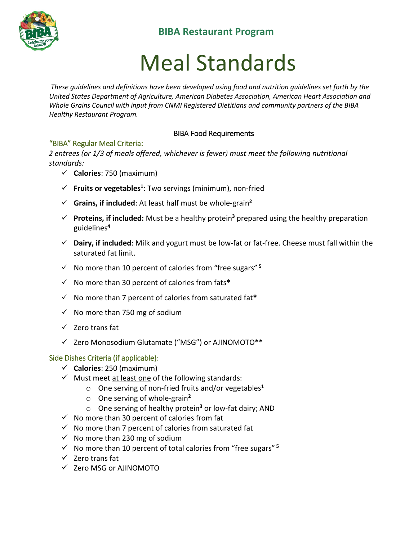

# **BIBA Restaurant Program**

# Meal Standards

*These guidelines and definitions have been developed using food and nutrition guidelines set forth by the United States Department of Agriculture, American Diabetes Association, American Heart Association and Whole Grains Council with input from CNMI Registered Dietitians and community partners of the BIBA Healthy Restaurant Program.* 

#### BIBA Food Requirements

#### "BIBA" Regular Meal Criteria:

*2 entrees (or 1/3 of meals offered, whichever is fewer) must meet the following nutritional standards:* 

- **Calories**: 750 (maximum)
- $\checkmark$  Fruits or vegetables<sup>1</sup>: Two servings (minimum), non-fried
- **Grains, if included**: At least half must be whole-grain**<sup>2</sup>**
- **Proteins, if included:** Must be a healthy protein**<sup>3</sup>** prepared using the healthy preparation guidelines**<sup>4</sup>**
- **Dairy, if included**: Milk and yogurt must be low-fat or fat-free. Cheese must fall within the saturated fat limit.
- $\checkmark$  No more than 10 percent of calories from "free sugars"<sup>5</sup>
- No more than 30 percent of calories from fats**\***
- No more than 7 percent of calories from saturated fat**\***
- $\checkmark$  No more than 750 mg of sodium
- $\checkmark$  Zero trans fat
- Zero Monosodium Glutamate ("MSG") or AJINOMOTO**\*\***

#### Side Dishes Criteria (if applicable):

- **Calories**: 250 (maximum)
- $\checkmark$  Must meet at least one of the following standards:
	- o One serving of non-fried fruits and/or vegetables**<sup>1</sup>**
	- o One serving of whole-grain**<sup>2</sup>**
	- o One serving of healthy protein**<sup>3</sup>** or low-fat dairy; AND
- $\checkmark$  No more than 30 percent of calories from fat
- $\checkmark$  No more than 7 percent of calories from saturated fat
- $\checkmark$  No more than 230 mg of sodium
- $\checkmark$  No more than 10 percent of total calories from "free sugars"<sup>5</sup>
- $\checkmark$  Zero trans fat
- $\checkmark$  Zero MSG or AJINOMOTO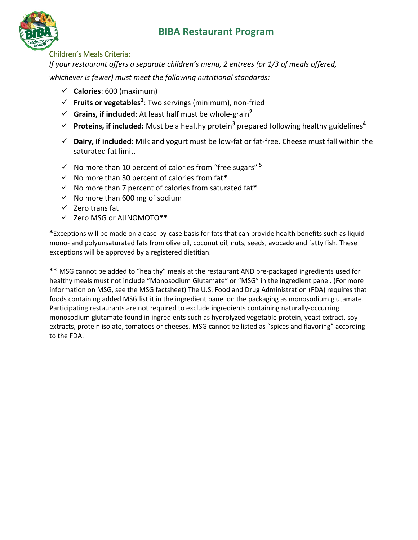# **BIBA Restaurant Program**



#### Children's Meals Criteria:

*If your restaurant offers a separate children's menu, 2 entrees (or 1/3 of meals offered, whichever is fewer) must meet the following nutritional standards:*

- **Calories**: 600 (maximum)
- **Fruits or vegetables<sup>1</sup>** : Two servings (minimum), non-fried
- $\checkmark$  **Grains, if included**: At least half must be whole-grain<sup>2</sup>
- **Proteins, if included:** Must be a healthy protein**<sup>3</sup>** prepared following healthy guidelines**<sup>4</sup>**
- **Dairy, if included**: Milk and yogurt must be low-fat or fat-free. Cheese must fall within the saturated fat limit.
- $\checkmark$  No more than 10 percent of calories from "free sugars"<sup>5</sup>
- No more than 30 percent of calories from fat**\***
- No more than 7 percent of calories from saturated fat**\***
- $\checkmark$  No more than 600 mg of sodium
- $\checkmark$  Zero trans fat
- Zero MSG or AJINOMOTO**\*\***

**\***Exceptions will be made on a case-by-case basis for fats that can provide health benefits such as liquid mono- and polyunsaturated fats from olive oil, coconut oil, nuts, seeds, avocado and fatty fish. These exceptions will be approved by a registered dietitian.

**\*\*** MSG cannot be added to "healthy" meals at the restaurant AND pre-packaged ingredients used for healthy meals must not include "Monosodium Glutamate" or "MSG" in the ingredient panel. (For more information on MSG, see the MSG factsheet) The U.S. Food and Drug Administration (FDA) requires that foods containing added MSG list it in the ingredient panel on the packaging as monosodium glutamate. Participating restaurants are not required to exclude ingredients containing naturally-occurring monosodium glutamate found in ingredients such as hydrolyzed vegetable protein, yeast extract, soy extracts, protein isolate, tomatoes or cheeses. MSG cannot be listed as "spices and flavoring" according to the FDA.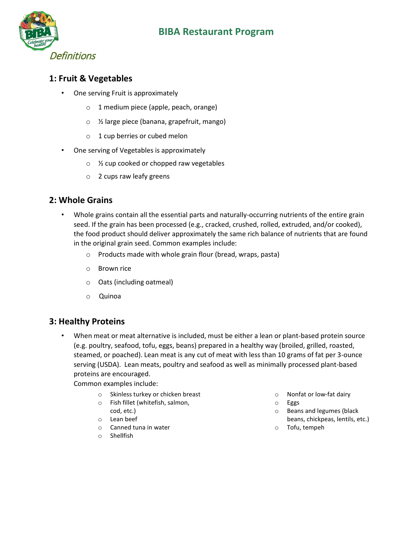

## **1: Fruit & Vegetables**

- One serving Fruit is approximately
	- o 1 medium piece (apple, peach, orange)
	- o ½ large piece (banana, grapefruit, mango)
	- o 1 cup berries or cubed melon
- One serving of Vegetables is approximately
	- o ½ cup cooked or chopped raw vegetables
	- o 2 cups raw leafy greens

#### **2: Whole Grains**

- Whole grains contain all the essential parts and naturally-occurring nutrients of the entire grain seed. If the grain has been processed (e.g., cracked, crushed, rolled, extruded, and/or cooked), the food product should deliver approximately the same rich balance of nutrients that are found in the original grain seed. Common examples include:
	- o Products made with whole grain flour (bread, wraps, pasta)
	- o Brown rice
	- o Oats (including oatmeal)
	- o Quinoa

## **3: Healthy Proteins**

• When meat or meat alternative is included, must be either a lean or plant-based protein source (e.g. poultry, seafood, tofu, eggs, beans) prepared in a healthy way (broiled, grilled, roasted, steamed, or poached). Lean meat is any cut of meat with less than 10 grams of fat per 3-ounce serving (USDA). Lean meats, poultry and seafood as well as minimally processed plant-based proteins are encouraged.

Common examples include:

- o Skinless turkey or chicken breast
- o Fish fillet (whitefish, salmon, cod, etc.)
- o Lean beef
- o Canned tuna in water
- o Shellfish
- o Nonfat or low-fat dairy
- o Eggs
- o Beans and legumes (black beans, chickpeas, lentils, etc.)
- o Tofu, tempeh